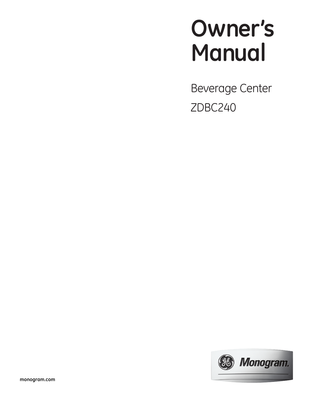# **Owner's Manual**

Beverage Center ZDBC240

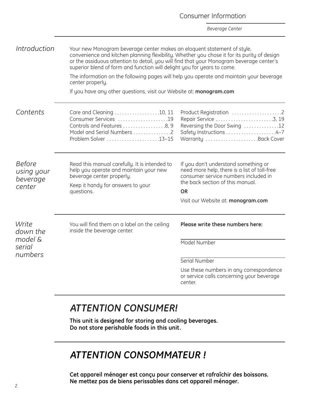|                                                   |                                                                                                                                                                                                                                                                                                                                               | <b>Beverage Center</b>                                                                                                                                                                                       |  |
|---------------------------------------------------|-----------------------------------------------------------------------------------------------------------------------------------------------------------------------------------------------------------------------------------------------------------------------------------------------------------------------------------------------|--------------------------------------------------------------------------------------------------------------------------------------------------------------------------------------------------------------|--|
| Introduction                                      | Your new Monogram beverage center makes an eloquent statement of style,<br>convenience and kitchen planning flexibility. Whether you chose it for its purity of design<br>or the assiduous attention to detail, you will find that your Monogram beverage center's<br>superior blend of form and function will delight you for years to come. |                                                                                                                                                                                                              |  |
|                                                   | The information on the following pages will help you operate and maintain your beverage<br>center properly.                                                                                                                                                                                                                                   |                                                                                                                                                                                                              |  |
|                                                   | If you have any other questions, visit our Website at: monogram.com                                                                                                                                                                                                                                                                           |                                                                                                                                                                                                              |  |
| Contents                                          | Care and Cleaning 10, 11<br>Consumer Services 19<br>Controls and Features 8, 9<br>Model and Serial Numbers 2<br>Problem Solver 13-15                                                                                                                                                                                                          | Product Registration 2<br>Reversing the Door Swing 12<br>Safety Instructions 4-7<br>Warranty Back Cover                                                                                                      |  |
| <b>Before</b><br>using your<br>beverage<br>center | Read this manual carefully. It is intended to<br>help you operate and maintain your new<br>beverage center properly.<br>Keep it handy for answers to your<br>questions.                                                                                                                                                                       | If you don't understand something or<br>need more help, there is a list of toll-free<br>consumer service numbers included in<br>the back section of this manual.<br>OR<br>Visit our Website at: monogram.com |  |
|                                                   |                                                                                                                                                                                                                                                                                                                                               |                                                                                                                                                                                                              |  |
| Write<br>down the                                 | You will find them on a label on the ceiling<br>inside the beverage center.                                                                                                                                                                                                                                                                   | Please write these numbers here:                                                                                                                                                                             |  |
| model &<br>serial                                 |                                                                                                                                                                                                                                                                                                                                               | Model Number                                                                                                                                                                                                 |  |
| numbers                                           |                                                                                                                                                                                                                                                                                                                                               | Serial Number                                                                                                                                                                                                |  |
|                                                   |                                                                                                                                                                                                                                                                                                                                               | Use these numbers in any correspondence<br>or service calls concerning your beverage<br>center.                                                                                                              |  |

Consumer Information

# *ATTENTION CONSUMER!*

**This unit is designed for storing and cooling beverages. Do not store perishable foods in this unit.**

# *ATTENTION CONSOMMATEUR !*

**Cet appareil ménager est conçu pour conserver et rafraîchir des boissons. Ne mettez pas de biens perissables dans cet appareil ménager.**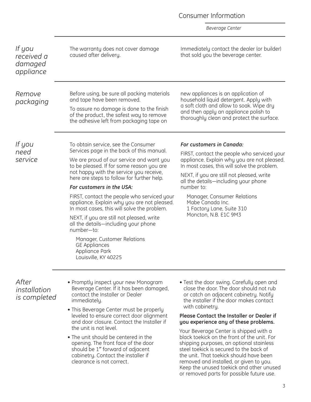<span id="page-2-0"></span>

| If you<br>received a<br>damaged<br>appliance | The warranty does not cover damage<br>caused after delivery.                                                                                                                                                                                                                                                                                                                                                                                                                                                                                                                                                                                     | Immediately contact the dealer (or builder)<br>that sold you the beverage center.                                                                                                                                                                                                                                                                                                                                                                                  |
|----------------------------------------------|--------------------------------------------------------------------------------------------------------------------------------------------------------------------------------------------------------------------------------------------------------------------------------------------------------------------------------------------------------------------------------------------------------------------------------------------------------------------------------------------------------------------------------------------------------------------------------------------------------------------------------------------------|--------------------------------------------------------------------------------------------------------------------------------------------------------------------------------------------------------------------------------------------------------------------------------------------------------------------------------------------------------------------------------------------------------------------------------------------------------------------|
| Remove<br>packaging                          | Before using, be sure all packing materials<br>and tape have been removed.<br>To assure no damage is done to the finish<br>of the product, the safest way to remove<br>the adhesive left from packaging tape on                                                                                                                                                                                                                                                                                                                                                                                                                                  | new appliances is an application of<br>household liquid detergent. Apply with<br>a soft cloth and allow to soak. Wipe dry<br>and then apply an appliance polish to<br>thoroughly clean and protect the surface.                                                                                                                                                                                                                                                    |
| If you<br>need<br>service                    | To obtain service, see the Consumer<br>Services page in the back of this manual.<br>We are proud of our service and want you<br>to be pleased. If for some reason you are<br>not happy with the service you receive,<br>here are steps to follow for further help.<br>For customers in the USA:<br>FIRST, contact the people who serviced your<br>appliance. Explain why you are not pleased.<br>In most cases, this will solve the problem.<br>NEXT, if you are still not pleased, write<br>all the details—including your phone<br>number-to:<br>Manager, Customer Relations<br><b>GE Appliances</b><br>Appliance Park<br>Louisville, KY 40225 | For customers in Canada:<br>FIRST, contact the people who serviced your<br>appliance. Explain why you are not pleased.<br>In most cases, this will solve the problem.<br>NEXT, if you are still not pleased, write<br>all the details—including your phone<br>number to:<br>Manager, Consumer Relations<br>Mabe Canada Inc.<br>1 Factory Lane, Suite 310<br>Moncton, N.B. E1C 9M3                                                                                  |
| After<br>installation<br>is completed        | • Promptly inspect your new Monogram<br>Beverage Center. If it has been damaged,<br>contact the Installer or Dealer<br>immediately.<br>• This Beverage Center must be properly<br>leveled to ensure correct door alignment<br>and door closure. Contact the Installer if<br>the unit is not level.<br>• The unit should be centered in the<br>opening. The front face of the door<br>should be 1" forward of adjacent                                                                                                                                                                                                                            | • Test the door swing. Carefully open and<br>close the door. The door should not rub<br>or catch on adjacent cabinetry. Notify<br>the installer if the door makes contact<br>with cabinetry.<br>Please Contact the Installer or Dealer if<br>you experience any of these problems.<br>Your Beverage Center is shipped with a<br>black toekick on the front of the unit. For<br>shipping purposes, an optional stainless<br>steel toekick is secured to the back of |

cabinetry. Contact the installer if

clearance is not correct.

steel toekick is secured to the back of the unit. That toekick should have been removed and installed, or given to you. Keep the unused toekick and other unused or removed parts for possible future use.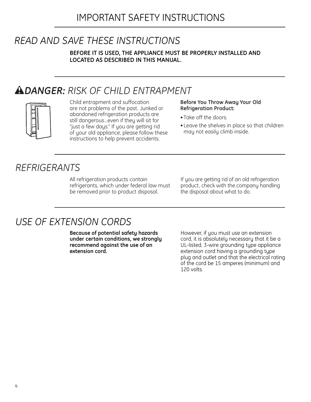# <span id="page-3-0"></span>*READ AND SAVE THESE INSTRUCTIONS*

**BEFORE IT IS USED, THE APPLIANCE MUST BE PROPERLY INSTALLED AND LOCATED AS DESCRIBED IN THIS MANUAL.**

# w*DANGER: RISK OF CHILD ENTRAPMENT*



Child entrapment and suffocation are not problems of the past. Junked or abandoned refrigeration products are still dangerous…even if they will sit for "just a few days." If you are getting rid of your old appliance, please follow these instructions to help prevent accidents.

#### **Before You Throw Away Your Old Refrigeration Product:**

- Take off the doors.
- Leave the shelves in place so that children may not easily climb inside.

# *REFRIGERANTS*

All refrigeration products contain refrigerants, which under federal law must be removed prior to product disposal.

If you are getting rid of an old refrigeration product, check with the company handling the disposal about what to do.

# *USE OF EXTENSION CORDS*

**Because of potential safety hazards under certain conditions, we strongly recommend against the use of an extension cord.**

However, if you must use an extension cord, it is absolutely necessary that it be a UL-listed, 3-wire grounding type appliance extension cord having a grounding type plug and outlet and that the electrical rating of the cord be 15 amperes (minimum) and 120 volts.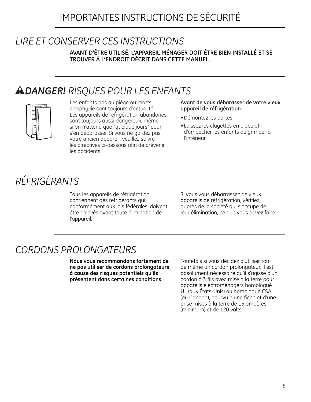# *LIRE ET CONSERVER CES INSTRUCTIONS*

**AVANT D'ÊTRE UTILISÉ, L'APPAREIL MÉNAGER DOIT ÊTRE BIEN INSTALLÉ ET SE TROUVER À L'ENDROIT DÉCRIT DANS CETTE MANUEL.**

# w*DANGER! RISQUES POUR LES ENFANTS*



Les enfants pris au piège ou morts d'asphyxie sont toujours d'actualité. Les appareils de réfrigération abandonés sont toujours aussi dangereux, même si on n'attend que "quelque jours" pour s'en débarasser. Si vous ne gardez pas votre ancien appareil, veuillez suivre les directives ci-dessous afin de prévenir les accidents.

#### **Avant de vous débarasser de votre vieux appareil de réfrigération :**

- Démontez les portes.
- Laissez les clayettes en place afin d'empêcher les enfants de grimper à l'intérieur.

# *RÉFRIGÉRANTS*

Tous les appareils de réfrigération contiennent des refrigerants qui, conformément aux lois fédérales, doivent être enlevés avant toute élimination de l'appareil.

Si vous vous débarrassez de vieux appareils de réfrigération, vérifiez, auprès de la société qui s'occupe de leur élimination, ce que vous devez faire.

# *CORDONS PROLONGATEURS*

**Nous vous recommandons fortement de ne pas utíliser de cordons prolongateurs à cause des risques potentiels qu'ils présentent dans certaines conditions.**

Toutefois si vous décidez d'utiliser tout de même un cordon prolongateur, il est absolument nécessaire qu'il s'agisse d'un cordon à 3 fils avec mise à la terre pour appareils électroménagers homologué UL (aux États-Unis) ou homologué CSA (au Canada), pourvu d'une fiche et d'une prise mises à la terre de 15 ampères (minimum) et de 120 volts.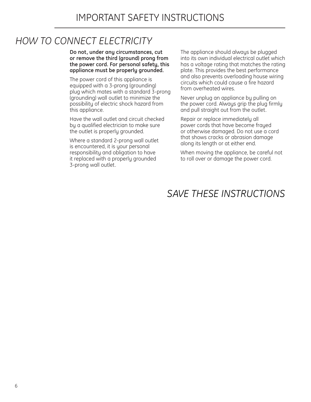# *HOW TO CONNECT ELECTRICITY*

**Do not, under any circumstances, cut or remove the third (ground) prong from the power cord. For personal safety, this appliance must be properly grounded.**

The power cord of this appliance is equipped with a 3-prong (grounding) plug which mates with a standard 3-prong (grounding) wall outlet to minimize the possibility of electric shock hazard from this appliance.

Have the wall outlet and circuit checked by a qualified electrician to make sure the outlet is properly grounded.

Where a standard 2-prong wall outlet is encountered, it is your personal responsibility and obligation to have it replaced with a properly grounded 3-prong wall outlet.

The appliance should always be plugged into its own individual electrical outlet which has a voltage rating that matches the rating plate. This provides the best performance and also prevents overloading house wiring circuits which could cause a fire hazard from overheated wires.

Never unplug an appliance by pulling on the power cord. Always grip the plug firmly and pull straight out from the outlet.

Repair or replace immediately all power cords that have become frayed or otherwise damaged. Do not use a cord that shows cracks or abrasion damage along its length or at either end.

When moving the appliance, be careful not to roll over or damage the power cord.

# *SAVE THESE INSTRUCTIONS*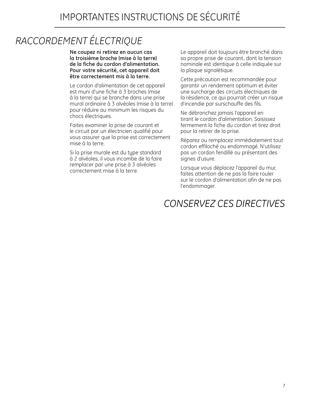# *RACCORDEMENT ÉLECTRIQUE*

**Ne coupez ni retirez en aucun cas la troisième broche (mise à la terre) de la fiche du cordon d'alimentation. Pour votre sécurité, cet appareil doit être correctement mis à la terre.**

Le cordon d'alimentation de cet appareil est muni d'une fiche à 3 broches (mise à la terre) qui se branche dans une prise mural ordinaire à 3 alvéoles (mise à la terre) pour réduire au minimum les risques du chocs électriques.

Faites examiner la prise de courant et le circuit par un électricien qualifié pour vous assurer que la prise est correctement mise à la terre.

Si la prise murale est du type standard à 2 alvéoles, il vous incombe de la faire remplacer par une prise à 3 alvéoles correctement mise à la terre.

Le appareil doit toujours être branché dans sa propre prise de courant, dont la tension nominale est identique à celle indiquée sur la plaque signalétique.

Cette précaution est recommandée pour garantir un rendement optimum et éviter une surcharge des circuits électriques de la résidence, ce qui pourrait créer un risque d'incendie par surschauffe des fils.

Ne débranchez jamais l'appareil en tirant le cordon d'alimentation. Saisissez fermement la fiche du cordon et tirez droit pour la retirer de la prise.

Réparez ou remplacez immédiatement tout cordon effiloché ou endommagé. N'utilisez pas un cordon fendillé ou présentant des signes d'usure.

Lorsque vous déplacez l'appareil du mur, faites attention de ne pas la faire rouler sur le cordon d'alimentation afin de ne pas l'endommager.

# *CONSERVEZ CES DIRECTIVES*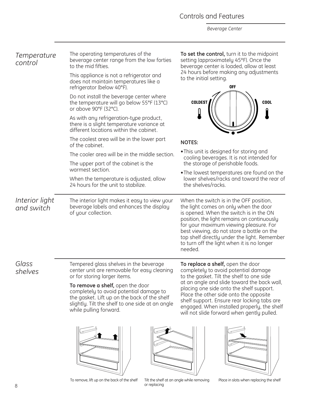### Controls and Features

*Beverage Center*

<span id="page-7-0"></span>

| Temperature<br>control       | The operating temperatures of the<br>beverage center range from the low forties<br>to the mid fifties.                                                                                                    | To set the control, turn it to the midpoint<br>setting (approximately 45°F). Once the<br>beverage center is loaded, allow at least<br>24 hours before making any adjustments                                                                                                                                                                                                                            |  |
|------------------------------|-----------------------------------------------------------------------------------------------------------------------------------------------------------------------------------------------------------|---------------------------------------------------------------------------------------------------------------------------------------------------------------------------------------------------------------------------------------------------------------------------------------------------------------------------------------------------------------------------------------------------------|--|
|                              | This appliance is not a refrigerator and<br>does not maintain temperatures like a<br>refrigerator (below 40°F).                                                                                           | to the initial setting.<br><b>OFF</b>                                                                                                                                                                                                                                                                                                                                                                   |  |
|                              | Do not install the beverage center where<br>the temperature will go below 55°F (13°C)<br>or above 90°F (32°C).                                                                                            | <b>COLDEST</b><br><b>COOL</b>                                                                                                                                                                                                                                                                                                                                                                           |  |
|                              | As with any refrigeration-type product,<br>there is a slight temperature variance at<br>different locations within the cabinet.                                                                           |                                                                                                                                                                                                                                                                                                                                                                                                         |  |
|                              | The coolest area will be in the lower part<br>of the cabinet.                                                                                                                                             | <b>NOTES:</b>                                                                                                                                                                                                                                                                                                                                                                                           |  |
|                              | The cooler area will be in the middle section.                                                                                                                                                            | . This unit is designed for storing and<br>cooling beverages. It is not intended for                                                                                                                                                                                                                                                                                                                    |  |
|                              | The upper part of the cabinet is the<br>warmest section.                                                                                                                                                  | the storage of perishable foods.<br>• The lowest temperatures are found on the                                                                                                                                                                                                                                                                                                                          |  |
|                              | When the temperature is adjusted, allow<br>24 hours for the unit to stabilize.                                                                                                                            | lower shelves/racks and toward the rear of<br>the shelves/racks.                                                                                                                                                                                                                                                                                                                                        |  |
| Interior light<br>and switch | The interior light makes it easy to view your<br>beverage labels and enhances the display<br>of your collection.                                                                                          | When the switch is in the OFF position,<br>the light comes on only when the door<br>is opened. When the switch is in the ON<br>position, the light remains on continuously<br>for your maximum viewing pleasure. For<br>best viewing, do not store a bottle on the<br>top shelf directly under the light. Remember<br>to turn off the light when it is no longer<br>needed.                             |  |
| Glass<br>shelves             | Tempered glass shelves in the beverage<br>center unit are removable for easy cleaning<br>or for storing larger items.                                                                                     | To replace a shelf, open the door<br>completely to avoid potential damage<br>to the gasket. Tilt the shelf to one side<br>at an angle and slide toward the back wall,<br>placing one side onto the shelf support.<br>Place the other side onto the opposite<br>shelf support. Ensure rear locking tabs are<br>engaged. When installed properly, the shelf<br>will not slide forward when gently pulled. |  |
|                              | To remove a shelf, open the door<br>completely to avoid potential damage to<br>the gasket. Lift up on the back of the shelf<br>slightly. Tilt the shelf to one side at an angle<br>while pulling forward. |                                                                                                                                                                                                                                                                                                                                                                                                         |  |
|                              |                                                                                                                                                                                                           |                                                                                                                                                                                                                                                                                                                                                                                                         |  |

To remove, lift up on the back of the shelf

Tilt the shelf at an angle while removing<br>or replacing

Place in slots when replacing the shelf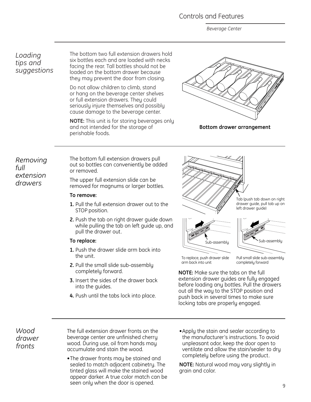### Controls and Features

*Beverage Center*

### *Loading tips and suggestions*

The bottom two full extension drawers hold six bottles each and are loaded with necks facing the rear. Tall bottles should not be loaded on the bottom drawer because they may prevent the door from closing.

Do not allow children to climb, stand or hang on the beverage center shelves or full extension drawers. They could seriously injure themselves and possibly cause damage to the beverage center.

**NOTE:** This unit is for storing beverages only and not intended for the storage of perishable foods.



**Bottom drawer arrangement**

*Removing full extension drawers*

The bottom full extension drawers pull out so bottles can conveniently be added or removed.

The upper full extension slide can be removed for magnums or larger bottles.

#### **To remove:**

- **1.** Pull the full extension drawer out to the STOP position.
- **2.** Push the tab on right drawer guide down while pulling the tab on left guide up, and pull the drawer out.

#### **To replace:**

- **1.** Push the drawer slide arm back into the unit.
- **2.** Pull the small slide sub-assembly completely forward.
- **3.** Insert the sides of the drawer back into the guides.
- **4.** Push until the tabs lock into place.









To replace, push drawer slide arm back into unit

Pull small slide sub-assembly completely forward

**NOTE:** Make sure the tabs on the full extension drawer guides are fully engaged before loading any bottles. Pull the drawers out all the way to the STOP position and push back in several times to make sure locking tabs are properly engaged.

*Wood drawer fronts*

The full extension drawer fronts on the beverage center are unfinished cherry wood. During use, oil from hands may accumulate and stain the wood.

- **•**The drawer fronts may be stained and sealed to match adjacent cabinetry. The tinted glass will make the stained wood appear darker. A true color match can be seen only when the door is opened.
- **•**Apply the stain and sealer according to the manufacturer's instructions. To avoid unpleasant odor, keep the door open to ventilate and allow the stain/sealer to dry completely before using the product.

**NOTE:** Natural wood may vary slightly in grain and color.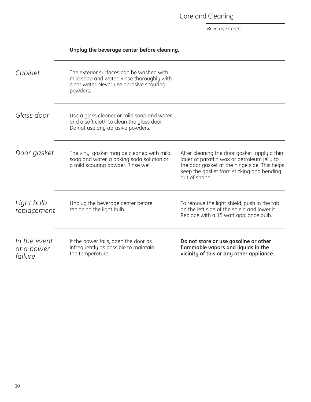Care and Cleaning

<span id="page-9-0"></span>

|                                       | Unplug the beverage center before cleaning.                                                                                                    |                                                                                                                                                                                                            |
|---------------------------------------|------------------------------------------------------------------------------------------------------------------------------------------------|------------------------------------------------------------------------------------------------------------------------------------------------------------------------------------------------------------|
| Cabinet                               | The exterior surfaces can be washed with<br>mild soap and water. Rinse thoroughly with<br>clear water. Never use abrasive scouring<br>powders. |                                                                                                                                                                                                            |
| Glass door                            | Use a glass cleaner or mild soap and water<br>and a soft cloth to clean the glass door.<br>Do not use any abrasive powders.                    |                                                                                                                                                                                                            |
| Door gasket                           | The vinyl gasket may be cleaned with mild<br>soap and water, a baking soda solution or<br>a mild scouring powder. Rinse well.                  | After cleaning the door gasket, apply a thin<br>layer of paraffin wax or petroleum jelly to<br>the door gasket at the hinge side. This helps<br>keep the gasket from sticking and bending<br>out of shape. |
| Light bulb<br>replacement             | Unplug the beverage center before<br>replacing the light bulb.                                                                                 | To remove the light shield, push in the tab<br>on the left side of the shield and lower it.<br>Replace with a 15 watt appliance bulb.                                                                      |
| In the event<br>of a power<br>failure | If the power fails, open the door as<br>infrequently as possible to maintain<br>the temperature.                                               | Do not store or use gasoline or other<br>flammable vapors and liquids in the<br>vicinity of this or any other appliance.                                                                                   |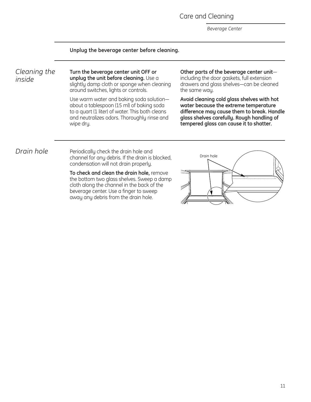Care and Cleaning

*Beverage Center*

#### **Unplug the beverage center before cleaning.**

*Cleaning the inside*

**Turn the beverage center unit OFF or unplug the unit before cleaning.** Use a slightly damp cloth or sponge when cleaning around switches, lights or controls.

Use warm water and baking soda solution about a tablespoon (15 ml) of baking soda to a quart (1 liter) of water. This both cleans and neutralizes odors. Thoroughly rinse and wipe dry.

**Other parts of the beverage center unit** including the door gaskets, full extension drawers and glass shelves—can be cleaned the same way.

**Avoid cleaning cold glass shelves with hot water because the extreme temperature difference may cause them to break. Handle glass shelves carefully. Rough handling of tempered glass can cause it to shatter.**

*Drain hole* Periodically check the drain hole and channel for any debris. If the drain is blocked, condensation will not drain properly.

> **To check and clean the drain hole,** remove the bottom two glass shelves. Sweep a damp cloth along the channel in the back of the beverage center. Use a finger to sweep away any debris from the drain hole.

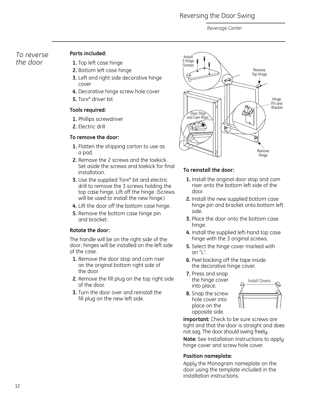### Reversing the Door Swing

*Beverage Center*

### <span id="page-11-0"></span>*To reverse the door*

### **Parts included:**

- **1.** Top left case hinge
- **2.** Bottom left case hinge
- **3.** Left and right side decorative hinge cover
- **4.** Decorative hinge screw hole cover
- **5.** Torx® driver bit

### **Tools required:**

- **1.** Phillips screwdriver
- **2.** Electric drill

### **To remove the door:**

- **1.** Flatten the shipping carton to use as a pad.
- **2.** Remove the 2 screws and the toekick. Set aside the screws and toekick for final installation.
- **3.** Use the supplied Torx<sup>®</sup> bit and electric drill to remove the 3 screws holding the top case hinge. Lift off the hinge. (Screws will be used to install the new hinge.)
- **4.** Lift the door off the bottom case hinge.
- **5.** Remove the bottom case hinge pin and bracket.

### **Rotate the door:**

The handle will be on the right side of the door; hinges will be installed on the left side of the case.

- **1.** Remove the door stop and cam riser on the original bottom right side of the door.
- **2.** Remove the fill plug on the top right side of the door.
- **3.** Turn the door over and reinstall the fill plug on the new left side.



### **To reinstall the door:**

- **1.** Install the original door stop and cam riser onto the bottom left side of the door.
- **2.** Install the new supplied bottom case hinge pin and bracket onto bottom left side.
- **3.** Place the door onto the bottom case hinge.
- **4.** Install the supplied left-hand top case hinge with the 3 original screws.
- **5.** Select the hinge cover marked with an "L".
- **6.** Peel backing off the tape inside the decorative hinge cover.
- **7.** Press and snap the hinge cover into place.
- **8.** Snap the screw hole cover into place on the opposite side.



**Important:** Check to be sure screws are tight and that the door is straight and does not sag. The door should swing freely.

**Note:** See Installation Instructions to apply hinge cover and screw hole cover.

### **Position nameplate:**

Apply the Monogram nameplate on the door using the template included in the installation instructions.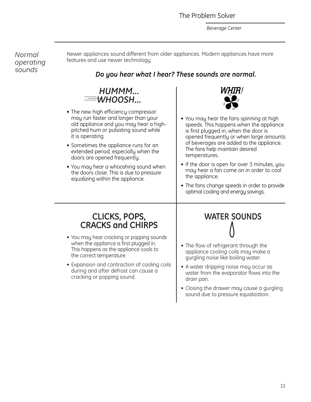<span id="page-12-0"></span>*Normal operating sounds*

Newer appliances sound different from older appliances. Modern appliances have more features and use newer technology.

### *Do you hear what I hear? These sounds are normal.*



- **•** The new high efficiency compressor may run faster and longer than your old appliance and you may hear a highpitched hum or pulsating sound while it is operating.
- **•** Sometimes the appliance runs for an extended period, especially when the doors are opened frequently.
- **•** You may hear a whooshing sound when the doors close. This is due to pressure equalizing within the appliance.



- **•** You may hear the fans spinning at high speeds. This happens when the appliance is first plugged in, when the door is opened frequently or when large amounts of beverages are added to the appliance. The fans help maintain desired temperatures.
- **•** If the door is open for over 3 minutes, you may hear a fan come on in order to cool the appliance.
- **•** The fans change speeds in order to provide optimal cooling and energy savings.

### **CLICKS, POPS, CRACKS and CHIRPS**

- **•** You may hear cracking or popping sounds when the appliance is first plugged in. This happens as the appliance cools to the correct temperature.
- **•** Expansion and contraction of cooling coils during and after defrost can cause a cracking or popping sound.

# **WATER SOUNDS**

- **•** The flow of refrigerant through the appliance cooling coils may make a gurgling noise like boiling water.
- **•** A water dripping noise may occur as water from the evaporator flows into the drain pan.
- **•** Closing the drawer may cause a gurgling sound due to pressure equalization.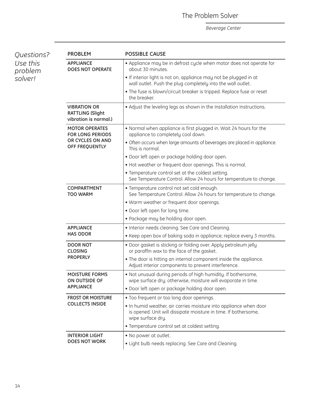| Questions?<br>Use this<br>problem<br>solver! | <b>PROBLEM</b>                                                          | <b>POSSIBLE CAUSE</b>                                                                                                                                     |
|----------------------------------------------|-------------------------------------------------------------------------|-----------------------------------------------------------------------------------------------------------------------------------------------------------|
|                                              | <b>APPLIANCE</b><br><b>DOES NOT OPERATE</b>                             | • Appliance may be in defrost cycle when motor does not operate for<br>about 30 minutes.                                                                  |
|                                              |                                                                         | • If interior light is not on, appliance may not be plugged in at<br>wall outlet. Push the plug completely into the wall outlet.                          |
|                                              |                                                                         | • The fuse is blown/circuit breaker is tripped. Replace fuse or reset<br>the breaker.                                                                     |
|                                              | <b>VIBRATION OR</b><br><b>RATTLING (Slight</b><br>vibration is normal.) | • Adjust the leveling legs as shown in the Installation Instructions.                                                                                     |
|                                              | <b>MOTOR OPERATES</b><br><b>FOR LONG PERIODS</b>                        | . Normal when appliance is first plugged in. Wait 24 hours for the<br>appliance to completely cool down.                                                  |
|                                              | OR CYCLES ON AND<br>OFF FREQUENTLY                                      | • Often occurs when large amounts of beverages are placed in appliance.<br>This is normal.                                                                |
|                                              |                                                                         | • Door left open or package holding door open.                                                                                                            |
|                                              |                                                                         | • Hot weather or frequent door openings. This is normal.                                                                                                  |
|                                              |                                                                         | • Temperature control set at the coldest setting.<br>See Temperature Control. Allow 24 hours for temperature to change.                                   |
|                                              | <b>COMPARTMENT</b><br><b>TOO WARM</b>                                   | • Temperature control not set cold enough.<br>See Temperature Control. Allow 24 hours for temperature to change.                                          |
|                                              |                                                                         | • Warm weather or frequent door openings.                                                                                                                 |
|                                              |                                                                         | • Door left open for long time.                                                                                                                           |
|                                              |                                                                         | • Package may be holding door open.                                                                                                                       |
|                                              | <b>APPLIANCE</b>                                                        | • Interior needs cleaning. See Care and Cleaning.                                                                                                         |
|                                              | <b>HAS ODOR</b>                                                         | • Keep open box of baking soda in appliance; replace every 3 months.                                                                                      |
|                                              | <b>DOOR NOT</b><br><b>CLOSING</b>                                       | . Door gasket is sticking or folding over. Apply petroleum jelly<br>or paraffin wax to the face of the gasket.                                            |
|                                              | <b>PROPERLY</b>                                                         | • The door is hitting an internal component inside the appliance.<br>Adjust interior components to prevent interference.                                  |
|                                              | <b>MOISTURE FORMS</b><br>ON OUTSIDE OF                                  | . Not unusual during periods of high humidity. If bothersome,<br>wipe surface dry; otherwise, moisture will evaporate in time.                            |
|                                              | <b>APPLIANCE</b>                                                        | • Door left open or package holding door open.                                                                                                            |
|                                              | <b>FROST OR MOISTURE</b><br><b>COLLECTS INSIDE</b>                      | • Too frequent or too long door openings.                                                                                                                 |
|                                              |                                                                         | • In humid weather, air carries moisture into appliance when door<br>is opened. Unit will dissipate moisture in time. If bothersome,<br>wipe surface dry. |
|                                              |                                                                         | • Temperature control set at coldest setting.                                                                                                             |
|                                              | <b>INTERIOR LIGHT</b><br><b>DOES NOT WORK</b>                           | . No power at outlet.                                                                                                                                     |
|                                              |                                                                         | • Light bulb needs replacing. See Care and Cleaning.                                                                                                      |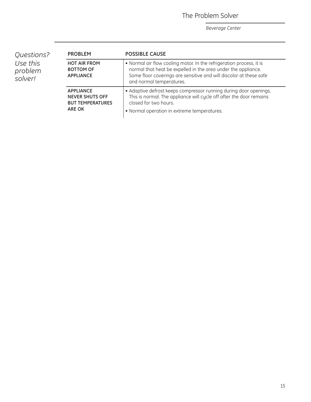The Problem Solver

| Questions?<br>Use this<br>problem<br>solver! | <b>PROBLEM</b>                                                                         | <b>POSSIBLE CAUSE</b>                                                                                                                                                                                                                   |
|----------------------------------------------|----------------------------------------------------------------------------------------|-----------------------------------------------------------------------------------------------------------------------------------------------------------------------------------------------------------------------------------------|
|                                              | <b>HOT AIR FROM</b><br><b>BOTTOM OF</b><br><b>APPLIANCE</b>                            | • Normal air flow cooling motor. In the refrigeration process, it is<br>normal that heat be expelled in the area under the appliance.<br>Some floor coverings are sensitive and will discolor at these safe<br>and normal temperatures. |
|                                              | <b>APPLIANCE</b><br><b>NEVER SHUTS OFF</b><br><b>BUT TEMPERATURES</b><br><b>ARE OK</b> | • Adaptive defrost keeps compressor running during door openings.<br>This is normal. The appliance will cycle off after the door remains<br>closed for two hours.<br>• Normal operation in extreme temperatures.                        |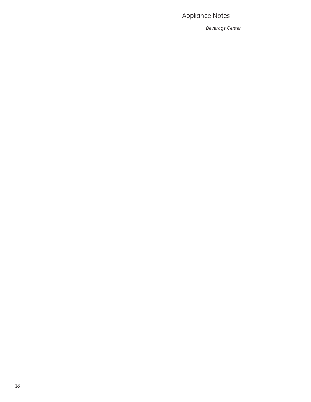Appliance Notes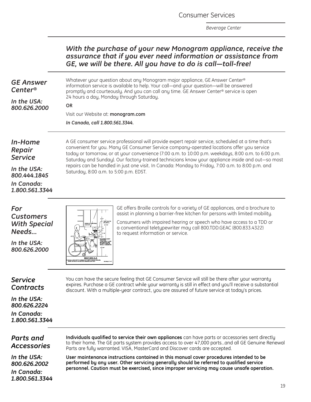Consumer Services

*With the purchase of your new Monogram appliance, receive the*

*Beverage Center*

<span id="page-18-0"></span>

|                                                             | assurance that if you ever need information or assistance from<br>GE, we will be there. All you have to do is call-toll-free!                                                                                                                                                                                                                                                                             |  |  |
|-------------------------------------------------------------|-----------------------------------------------------------------------------------------------------------------------------------------------------------------------------------------------------------------------------------------------------------------------------------------------------------------------------------------------------------------------------------------------------------|--|--|
| <b>GE Answer</b><br>Center®                                 | Whatever your question about any Monogram major appliance, GE Answer Center®<br>information service is available to help. Your call-and your question-will be answered<br>promptly and courteously. And you can call any time. GE Answer Center® service is open                                                                                                                                          |  |  |
| In the USA:                                                 | 24 hours a day, Monday through Saturday.<br><b>OR</b>                                                                                                                                                                                                                                                                                                                                                     |  |  |
| 800.626.2000                                                | Visit our Website at: monogram.com                                                                                                                                                                                                                                                                                                                                                                        |  |  |
|                                                             | In Canada, call 1.800.561.3344.                                                                                                                                                                                                                                                                                                                                                                           |  |  |
| In-Home<br>Repair<br><b>Service</b>                         | A GE consumer service professional will provide expert repair service, scheduled at a time that's<br>convenient for you. Many GE Consumer Service company-operated locations offer you service<br>today or tomorrow, or at your convenience (7:00 a.m. to 10:00 p.m. weekdays, 8:00 a.m. to 6:00 p.m.<br>Saturday and Sunday). Our factory-trained technicians know your appliance inside and out-so most |  |  |
| In the USA:<br>800.444.1845                                 | repairs can be handled in just one visit. In Canada: Monday to Friday, 7:00 a.m. to 8:00 p.m. and<br>Saturday, 8:00 a.m. to 5:00 p.m. EDST.                                                                                                                                                                                                                                                               |  |  |
| In Canada:<br>1.800.561.3344                                |                                                                                                                                                                                                                                                                                                                                                                                                           |  |  |
| For<br><b>Customers</b><br><b>With Special</b><br>Needs     | GE offers Braille controls for a variety of GE appliances, and a brochure to<br>assist in planning a barrier-free kitchen for persons with limited mobility.<br>Consumers with impaired hearing or speech who have access to a TDD or<br>TBXTOLITI<br>ON WALL<br>6'10'<br>a conventional teletypewriter may call 800.TDD.GEAC (800.833.4322)<br>to request information or service.                        |  |  |
| In the USA:<br>800.626.2000                                 | <b>SECTION A A</b>                                                                                                                                                                                                                                                                                                                                                                                        |  |  |
| <b>Service</b><br><b>Contracts</b>                          | You can have the secure feeling that GE Consumer Service will still be there after your warranty<br>expires. Purchase a GE contract while your warranty is still in effect and you'll receive a substantial<br>discount. With a multiple-year contract, you are assured of future service at today's prices.                                                                                              |  |  |
| In the USA:<br>800.626.2224<br>In Canada:<br>1.800.561.3344 |                                                                                                                                                                                                                                                                                                                                                                                                           |  |  |
| Parts and                                                   | Individuals qualified to service their own appliances can have parts or accessories sent directly                                                                                                                                                                                                                                                                                                         |  |  |

### *Parts and Accessories*

*In the USA: 800.626.2002*

*In Canada: 1.800.561.3344* to their home. The GE parts system provides access to over 47,000 parts…and all GE Genuine Renewal Parts are fully warranted. VISA, MasterCard and Discover cards are accepted.

**User maintenance instructions contained in this manual cover procedures intended to be performed by any user. Other servicing generally should be referred to qualified service personnel. Caution must be exercised, since improper servicing may cause unsafe operation.**